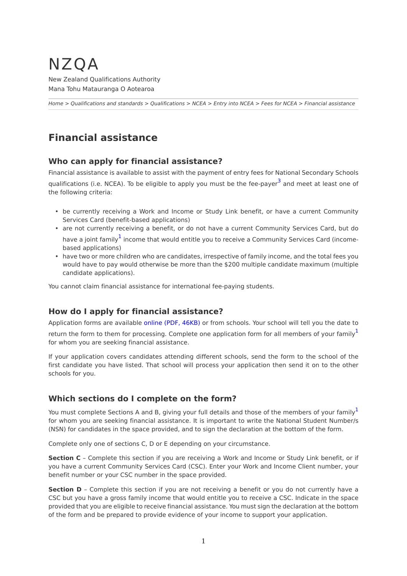## NZQA New Zealand Qualifications Authority Mana Tohu Matauranga O Aotearoa

*[Home](http://www.nzqa.govt.nz/home) > [Qualifications and standards](http://www.nzqa.govt.nz/qualifications-standards/) > [Qualifications](http://www.nzqa.govt.nz/qualifications-standards/qualifications/) > [NCEA](http://www.nzqa.govt.nz/qualifications-standards/qualifications/ncea/) > [Entry into NCEA](http://www.nzqa.govt.nz/qualifications-standards/qualifications/ncea/entry-into-ncea/) > [Fees for NCEA](http://www.nzqa.govt.nz/qualifications-standards/qualifications/ncea/entry-into-ncea/fees-for-ncea/) > Financial assistance*

# **Financial assistance**

#### **Who can apply for financial assistance?**

Financial assistance is available to assist with the payment of entry fees for National Secondary Schools qualifications (i.e. NCEA). To be eligible to apply you must be the fee-payer<sup>[3](http://www.nzqa.govt.nz/#note3)</sup> and meet at least one of the following criteria:

- be currently receiving a Work and Income or Study Link benefit, or have a current Community Services Card (benefit-based applications)
- are not currently receiving a benefit, or do not have a current Community Services Card, but do have a joint family<sup>[1](http://www.nzqa.govt.nz/#note1)</sup> income that would entitle you to receive a Community Services Card (incomebased applications)
- have two or more children who are candidates, irrespective of family income, and the total fees you would have to pay would otherwise be more than the \$200 multiple candidate maximum (multiple candidate applications).

You cannot claim financial assistance for international fee-paying students.

#### **How do I apply for financial assistance?**

Application forms are available [online \(PDF, 46KB\)](http://www.nzqa.govt.nz/assets/qualifications-and-standards/qualifications/ncea/Application-For-Financial-Assistance.pdf) or from schools. Your school will tell you the date to return the form to them for processing. Complete one application form for all members of your family for whom you are seeking financial assistance.

If your application covers candidates attending different schools, send the form to the school of the first candidate you have listed. That school will process your application then send it on to the other schools for you.

## **Which sections do I complete on the form?**

You must complete Sections A and B, giving your full details and those of the members of your family<sup>[1](http://www.nzqa.govt.nz/#note1)</sup> for whom you are seeking financial assistance. It is important to write the National Student Number/s (NSN) for candidates in the space provided, and to sign the declaration at the bottom of the form.

Complete only one of sections C, D or E depending on your circumstance.

**Section C** – Complete this section if you are receiving a Work and Income or Study Link benefit, or if you have a current Community Services Card (CSC). Enter your Work and Income Client number, your benefit number or your CSC number in the space provided.

**Section D** - Complete this section if you are not receiving a benefit or you do not currently have a CSC but you have a gross family income that would entitle you to receive a CSC. Indicate in the space provided that you are eligible to receive financial assistance. You must sign the declaration at the bottom of the form and be prepared to provide evidence of your income to support your application.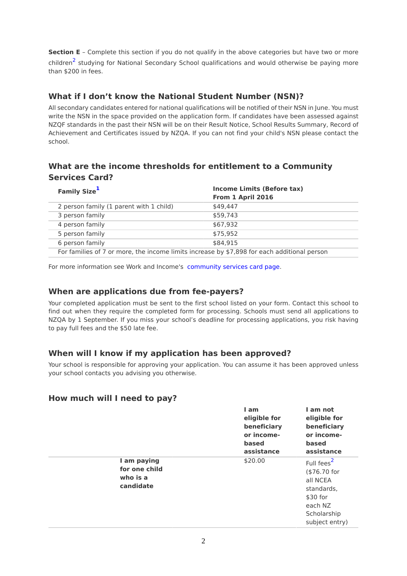**Section E** – Complete this section if you do not qualify in the above categories but have two or more children<sup>[2](http://www.nzqa.govt.nz/#note2)</sup> studying for National Secondary School qualifications and would otherwise be paying more than \$200 in fees.

## **What if I don't know the National Student Number (NSN)?**

All secondary candidates entered for national qualifications will be notified of their NSN in June. You must write the NSN in the space provided on the application form. If candidates have been assessed against NZQF standards in the past their NSN will be on their Result Notice, School Results Summary, Record of Achievement and Certificates issued by NZQA. If you can not find your child's NSN please contact the school.

## **What are the income thresholds for entitlement to a Community Services Card?**

| <b>Family Size</b> <sup>1</sup>                                                             | <b>Income Limits (Before tax)</b><br>From 1 April 2016 |  |
|---------------------------------------------------------------------------------------------|--------------------------------------------------------|--|
| 2 person family (1 parent with 1 child)                                                     | \$49,447                                               |  |
| 3 person family                                                                             | \$59,743                                               |  |
| 4 person family                                                                             | \$67.932                                               |  |
| 5 person family                                                                             | \$75.952                                               |  |
| 6 person family                                                                             | \$84,915                                               |  |
| For families of 7 or more, the income limits increase by \$7,898 for each additional person |                                                        |  |

For more information see Work and Income's [community services card page](http://www.workandincome.govt.nz/products/a-z-benefits/community-services-card.html).

#### **When are applications due from fee-payers?**

Your completed application must be sent to the first school listed on your form. Contact this school to find out when they require the completed form for processing. Schools must send all applications to NZQA by 1 September. If you miss your school's deadline for processing applications, you risk having to pay full fees and the \$50 late fee.

## **When will I know if my application has been approved?**

Your school is responsible for approving your application. You can assume it has been approved unless your school contacts you advising you otherwise.

#### **How much will I need to pay?**

|                                                       | I am<br>eligible for<br>beneficiary<br>or income-<br>based<br>assistance | I am not<br>eligible for<br>beneficiary<br>or income-<br>based<br>assistance                            |
|-------------------------------------------------------|--------------------------------------------------------------------------|---------------------------------------------------------------------------------------------------------|
| I am paying<br>for one child<br>who is a<br>candidate | \$20.00                                                                  | Full fees <sup>2</sup><br>(\$76.70 for<br>all NCEA<br>standards,<br>$$30$ for<br>each NZ<br>Scholarship |